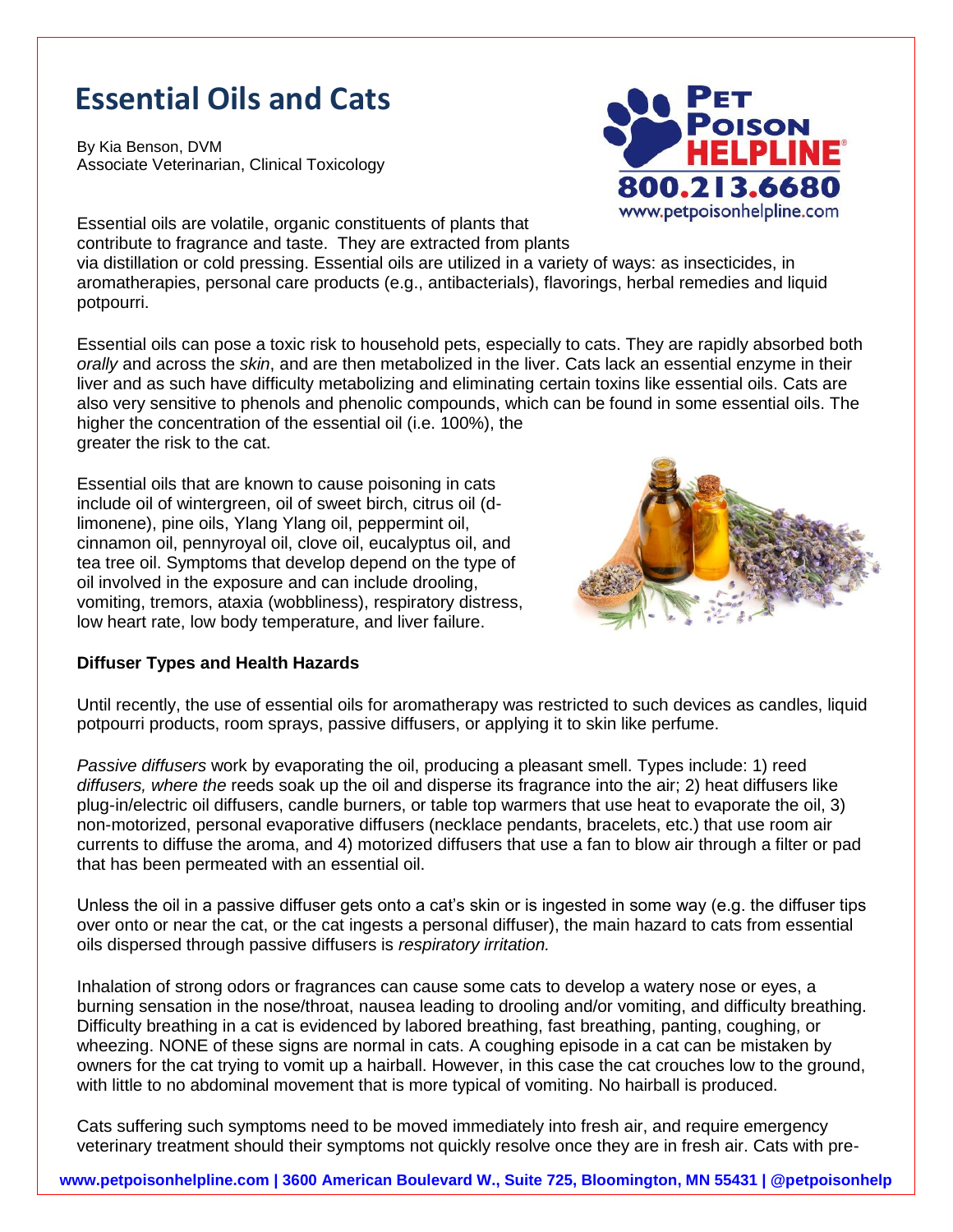## **Essential Oils and Cats**

By Kia Benson, DVM *Associate Veterinarian, Clinical Toxicology*



Essential oils are volatile, organic constituents of plants that contribute to fragrance and taste. They are extracted from plants via distillation or cold pressing. Essential oils are utilized in a variety of ways: as insecticides, in aromatherapies, personal care products (e.g., antibacterials), flavorings, herbal remedies and liquid potpourri.

Essential oils can pose a toxic risk to household pets, especially to cats. They are rapidly absorbed both *orally* and across the *skin*, and are then metabolized in the liver. Cats lack an essential enzyme in their liver and as such have difficulty metabolizing and eliminating certain toxins like essential oils. Cats are also very sensitive to phenols and phenolic compounds, which can be found in some essential oils. The higher the concentration of the essential oil (i.e. 100%), the greater the risk to the cat.

Essential oils that are known to cause poisoning in cats include oil of wintergreen, oil of sweet birch, citrus oil (dlimonene), pine oils, Ylang Ylang oil, peppermint oil, cinnamon oil, pennyroyal oil, clove oil, eucalyptus oil, and tea tree oil. Symptoms that develop depend on the type of oil involved in the exposure and can include drooling, vomiting, tremors, ataxia (wobbliness), respiratory distress, low heart rate, low body temperature, and liver failure.



## **Diffuser Types and Health Hazards**

Until recently, the use of essential oils for aromatherapy was restricted to such devices as candles, liquid potpourri products, room sprays, passive diffusers, or applying it to skin like perfume.

*Passive diffusers* work by evaporating the oil, producing a pleasant smell. Types include: 1) reed *diffusers, where the* reeds soak up the oil and disperse its fragrance into the air; 2) heat diffusers like plug-in/electric oil diffusers, candle burners, or table top warmers that use heat to evaporate the oil, 3) non-motorized, personal evaporative diffusers (necklace pendants, bracelets, etc.) that use room air currents to diffuse the aroma, and 4) motorized diffusers that use a fan to blow air through a filter or pad that has been permeated with an essential oil.

Unless the oil in a passive diffuser gets onto a cat's skin or is ingested in some way (e.g. the diffuser tips over onto or near the cat, or the cat ingests a personal diffuser), the main hazard to cats from essential oils dispersed through passive diffusers is *respiratory irritation.*

Inhalation of strong odors or fragrances can cause some cats to develop a watery nose or eyes, a burning sensation in the nose/throat, nausea leading to drooling and/or vomiting, and difficulty breathing. Difficulty breathing in a cat is evidenced by labored breathing, fast breathing, panting, coughing, or wheezing. NONE of these signs are normal in cats. A coughing episode in a cat can be mistaken by owners for the cat trying to vomit up a hairball. However, in this case the cat crouches low to the ground, with little to no abdominal movement that is more typical of vomiting. No hairball is produced.

Cats suffering such symptoms need to be moved immediately into fresh air, and require emergency veterinary treatment should their symptoms not quickly resolve once they are in fresh air. Cats with pre